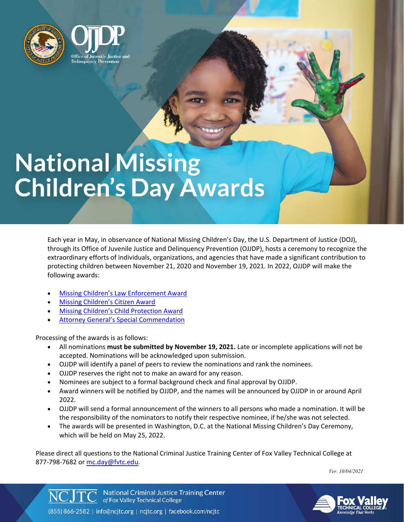



# **National Missing Children's Day Awards**

Each year in May, in observance of National Missing Children's Day, the U.S. Department of Justice (DOJ), through its Office of Juvenile Justice and Delinquency Prevention (OJJDP), hosts a ceremony to recognize the extraordinary efforts of individuals, organizations, and agencies that have made a significant contribution to protecting children between November 21, 2020 and November 19, 2021. In 2022, OJJDP will make the following awards:

- **[Missing Children's Law Enforcement Award](https://fvtc.az1.qualtrics.com/jfe/form/SV_73AflrSHk285VDE)**
- [Missing Children's](https://fvtc.az1.qualtrics.com/jfe/form/SV_bwktBAHFl61aNvg) Citizen Award
- [Missing Children's Child Protection Award](https://fvtc.az1.qualtrics.com/jfe/form/SV_eUPaHTmQUPvWaG2)
- Attorney [General's Special Commendation](https://fvtc.az1.qualtrics.com/jfe/form/SV_bNTNjixucw7Tdhc)

Processing of the awards is as follows:

- All nominations **must be submitted by November 19, 2021.** Late or incomplete applications will not be accepted. Nominations will be acknowledged upon submission.
- OJJDP will identify a panel of peers to review the nominations and rank the nominees.
- OJJDP reserves the right not to make an award for any reason.
- Nominees are subject to a formal background check and final approval by OJJDP.
- Award winners will be notified by OJJDP, and the names will be announced by OJJDP in or around April 2022.
- OJJDP will send a formal announcement of the winners to all persons who made a nomination. It will be the responsibility of the nominators to notify their respective nominee, if he/she was not selected.
- The awards will be presented in Washington, D.C. at the National Missing Children's Day Ceremony, which will be held on May 25, 2022.

Please direct all questions to the National Criminal Justice Training Center of Fox Valley Technical College at 877-798-7682 or [mc.day@fvtc.edu.](mailto:mc.day@fvtc.edu)

*Ver. 10/04/2021*



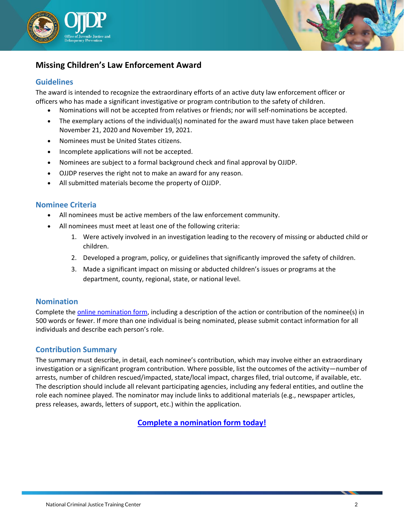



# **Missing Children's Law Enforcement Award**

## **Guidelines**

The award is intended to recognize the extraordinary efforts of an active duty law enforcement officer or officers who has made a significant investigative or program contribution to the safety of children.

- Nominations will not be accepted from relatives or friends; nor will self-nominations be accepted.
- The exemplary actions of the individual(s) nominated for the award must have taken place between November 21, 2020 and November 19, 2021.
- Nominees must be United States citizens.
- Incomplete applications will not be accepted.
- Nominees are subject to a formal background check and final approval by OJJDP.
- OJJDP reserves the right not to make an award for any reason.
- All submitted materials become the property of OJJDP.

## **Nominee Criteria**

- All nominees must be active members of the law enforcement community.
- All nominees must meet at least one of the following criteria:
	- 1. Were actively involved in an investigation leading to the recovery of missing or abducted child or children.
	- 2. Developed a program, policy, or guidelines that significantly improved the safety of children.
	- 3. Made a significant impact on missing or abducted children's issues or programs at the department, county, regional, state, or national level.

## **Nomination**

Complete the [online nomination form,](https://fvtc.az1.qualtrics.com/jfe/form/SV_73AflrSHk285VDE) including a description of the action or contribution of the nominee(s) in 500 words or fewer. If more than one individual is being nominated, please submit contact information for all individuals and describe each person's role.

## **Contribution Summary**

The summary must describe, in detail, each nominee's contribution, which may involve either an extraordinary investigation or a significant program contribution. Where possible, list the outcomes of the activity—number of arrests, number of children rescued/impacted, state/local impact, charges filed, trial outcome, if available, etc. The description should include all relevant participating agencies, including any federal entities, and outline the role each nominee played. The nominator may include links to additional materials (e.g., newspaper articles, press releases, awards, letters of support, etc.) within the application.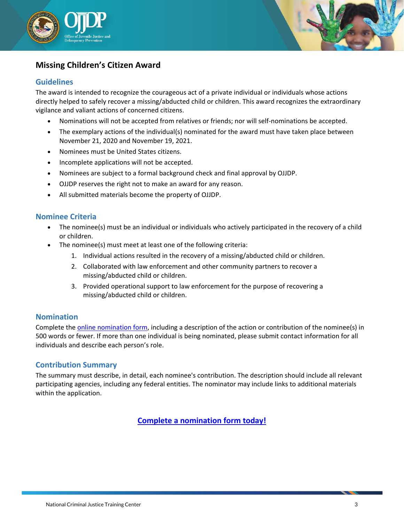



# **Missing Children's Citizen Award**

## **Guidelines**

The award is intended to recognize the courageous act of a private individual or individuals whose actions directly helped to safely recover a missing/abducted child or children. This award recognizes the extraordinary vigilance and valiant actions of concerned citizens.

- Nominations will not be accepted from relatives or friends; nor will self-nominations be accepted.
- The exemplary actions of the individual(s) nominated for the award must have taken place between November 21, 2020 and November 19, 2021.
- Nominees must be United States citizens.
- Incomplete applications will not be accepted.
- Nominees are subject to a formal background check and final approval by OJJDP.
- OJJDP reserves the right not to make an award for any reason.
- All submitted materials become the property of OJJDP.

## **Nominee Criteria**

- The nominee(s) must be an individual or individuals who actively participated in the recovery of a child or children.
- The nominee(s) must meet at least one of the following criteria:
	- 1. Individual actions resulted in the recovery of a missing/abducted child or children.
	- 2. Collaborated with law enforcement and other community partners to recover a missing/abducted child or children.
	- 3. Provided operational support to law enforcement for the purpose of recovering a missing/abducted child or children.

## **Nomination**

Complete the **online nomination form**, including a description of the action or contribution of the nominee(s) in 500 words or fewer. If more than one individual is being nominated, please submit contact information for all individuals and describe each person's role.

## **Contribution Summary**

The summary must describe, in detail, each nominee's contribution. The description should include all relevant participating agencies, including any federal entities. The nominator may include links to additional materials within the application.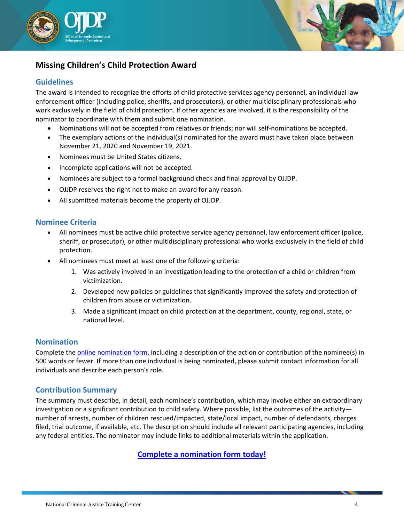



# **Missing Children's Child Protection Award**

## **Guidelines**

The award is intended to recognize the efforts of child protective services agency personnel, an individual law enforcement officer (including police, sheriffs, and prosecutors), or other multidisciplinary professionals who work exclusively in the field of child protection. If other agencies are involved, it is the responsibility of the nominator to coordinate with them and submit one nomination.

- Nominations will not be accepted from relatives or friends; nor will self-nominations be accepted.
- The exemplary actions of the individual(s) nominated for the award must have taken place between November 21, 2020 and November 19, 2021.
- Nominees must be United States citizens.
- Incomplete applications will not be accepted.
- Nominees are subject to a formal background check and final approval by OJJDP.
- OJJDP reserves the right not to make an award for any reason.
- All submitted materials become the property of OJJDP.

#### **Nominee Criteria**

- All nominees must be active child protective service agency personnel, law enforcement officer (police, sheriff, or prosecutor), or other multidisciplinary professional who works exclusively in the field of child protection.
- All nominees must meet at least one of the following criteria:
	- 1. Was actively involved in an investigation leading to the protection of a child or children from victimization.
	- 2. Developed new policies or guidelines that significantly improved the safety and protection of children from abuse or victimization.
	- 3. Made a significant impact on child protection at the department, county, regional, state, or national level.

#### **Nomination**

Complete the [online nomination form,](https://fvtc.az1.qualtrics.com/jfe/form/SV_eUPaHTmQUPvWaG2) including a description of the action or contribution of the nominee(s) in 500 words or fewer. If more than one individual is being nominated, please submit contact information for all individuals and describe each person's role.

## **Contribution Summary**

The summary must describe, in detail, each nominee's contribution, which may involve either an extraordinary investigation or a significant contribution to child safety. Where possible, list the outcomes of the activity number of arrests, number of children rescued/impacted, state/local impact, number of defendants, charges filed, trial outcome, if available, etc. The description should include all relevant participating agencies, including any federal entities. The nominator may include links to additional materials within the application.